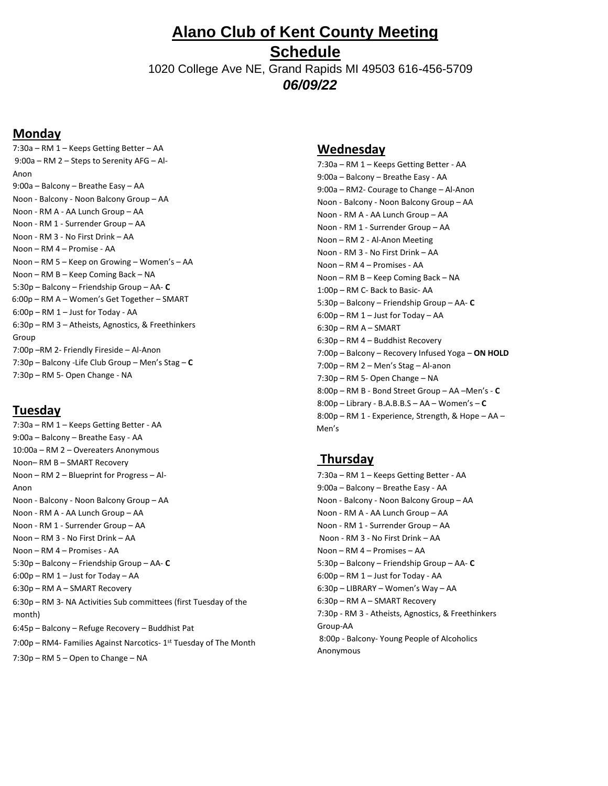**Alano Club of Kent County Meeting Schedule**

 1020 College Ave NE, Grand Rapids MI 49503 616-456-5709 *06/09/22*

### **Monday**

7:30a – RM 1 – Keeps Getting Better – AA 9:00a – RM 2 – Steps to Serenity AFG – Al-Anon 9:00a – Balcony – Breathe Easy – AA Noon - Balcony - Noon Balcony Group – AA Noon - RM A - AA Lunch Group – AA Noon - RM 1 - Surrender Group – AA Noon - RM 3 - No First Drink – AA Noon – RM 4 – Promise - AA Noon – RM 5 – Keep on Growing – Women's – AA Noon – RM B – Keep Coming Back – NA 5:30p – Balcony – Friendship Group – AA- **C** 6:00p – RM A – Women's Get Together – SMART 6:00p – RM 1 – Just for Today - AA 6:30p – RM 3 – Atheists, Agnostics, & Freethinkers Group 7:00p –RM 2- Friendly Fireside – Al-Anon 7:30p – Balcony -Life Club Group – Men's Stag – **C**  7:30p – RM 5- Open Change - NA

### **Tuesday**

7:30a – RM 1 – Keeps Getting Better - AA 9:00a – Balcony – Breathe Easy - AA 10:00a – RM 2 – Overeaters Anonymous Noon– RM B – SMART Recovery Noon – RM 2 – Blueprint for Progress – Al-Anon Noon - Balcony - Noon Balcony Group – AA Noon - RM A - AA Lunch Group – AA Noon - RM 1 - Surrender Group – AA Noon – RM 3 - No First Drink – AA Noon – RM 4 – Promises - AA 5:30p – Balcony – Friendship Group – AA- **C**  6:00p – RM 1 – Just for Today – AA 6:30p – RM A – SMART Recovery 6:30p – RM 3- NA Activities Sub committees (first Tuesday of the month) 6:45p – Balcony – Refuge Recovery – Buddhist Pat 7:00p - RM4- Families Against Narcotics- 1<sup>st</sup> Tuesday of The Month 7:30p – RM 5 – Open to Change – NA

### **Wednesday**

7:30a – RM 1 – Keeps Getting Better - AA 9:00a – Balcony – Breathe Easy - AA 9:00a – RM2- Courage to Change – Al-Anon Noon - Balcony - Noon Balcony Group – AA Noon - RM A - AA Lunch Group – AA Noon - RM 1 - Surrender Group – AA Noon – RM 2 - Al-Anon Meeting Noon - RM 3 - No First Drink – AA Noon – RM 4 – Promises - AA Noon – RM B – Keep Coming Back – NA 1:00p – RM C- Back to Basic- AA 5:30p – Balcony – Friendship Group – AA- **C**  6:00p – RM 1 – Just for Today – AA 6:30p – RM A – SMART 6:30p – RM 4 – Buddhist Recovery 7:00p – Balcony – Recovery Infused Yoga – **ON HOLD**  7:00p – RM 2 – Men's Stag – Al-anon 7:30p – RM 5- Open Change – NA 8:00p – RM B - Bond Street Group – AA –Men's - **C** 8:00p – Library - B.A.B.B.S – AA – Women's – **C**  8:00p – RM 1 - Experience, Strength, & Hope – AA – Men's

## **Thursday**

7:30a – RM 1 – Keeps Getting Better - AA 9:00a – Balcony – Breathe Easy - AA Noon - Balcony - Noon Balcony Group – AA Noon - RM A - AA Lunch Group – AA Noon - RM 1 - Surrender Group – AA Noon - RM 3 - No First Drink – AA Noon – RM 4 – Promises – AA 5:30p – Balcony – Friendship Group – AA- **C** 6:00p – RM 1 – Just for Today - AA 6:30p – LIBRARY – Women's Way – AA 6:30p – RM A – SMART Recovery 7:30p - RM 3 - Atheists, Agnostics, & Freethinkers Group-AA 8:00p - Balcony- Young People of Alcoholics Anonymous